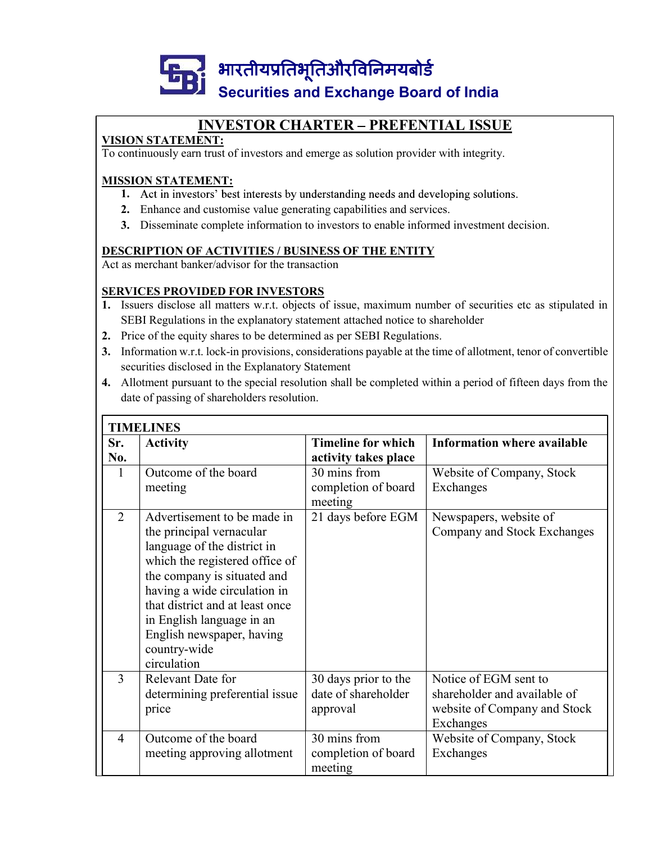

# INVESTOR CHARTER - PREFENTIAL ISSUE

# VISION STATEMENT:

To continuously earn trust of investors and emerge as solution provider with integrity.

# MISSION STATEMENT:

- 1. Act in investors' best interests by understanding needs and developing solutions.
- 2. Enhance and customise value generating capabilities and services.
- 3. Disseminate complete information to investors to enable informed investment decision.

## DESCRIPTION OF ACTIVITIES / BUSINESS OF THE ENTITY

# SERVICES PROVIDED FOR INVESTORS

- 1. Issuers disclose all matters w.r.t. objects of issue, maximum number of securities etc as stipulated in SEBI Regulations in the explanatory statement attached notice to shareholder
- 
- 3. Information w.r.t. lock-in provisions, considerations payable at the time of allotment, tenor of convertible SECUTIVES AND EXECUTE BOATED OF INCREASE INTEREMENT:<br>
SECUTIVES TOR CHARTER – PREFENTIAL ISSUE<br>
ION STATEMENT:<br>
SECON STATEMENT:<br>
1. Act in investors' best interests by understanding needs and developing solutions.<br>
1. Enh
- 4. Allotment pursuant to the special resolution shall be completed within a period of fifteen days from the date of passing of shareholders resolution.

|    | 2.             | <b>MISSION STATEMENT:</b><br>1. Act in investors' best interests by understanding needs and developing solutions.<br>Enhance and customise value generating capabilities and services.<br>3. Disseminate complete information to investors to enable informed investment decision.<br><b>DESCRIPTION OF ACTIVITIES / BUSINESS OF THE ENTITY</b><br>Act as merchant banker/advisor for the transaction |                                                         |                                                                                                                 |
|----|----------------|-------------------------------------------------------------------------------------------------------------------------------------------------------------------------------------------------------------------------------------------------------------------------------------------------------------------------------------------------------------------------------------------------------|---------------------------------------------------------|-----------------------------------------------------------------------------------------------------------------|
|    |                | <b>SERVICES PROVIDED FOR INVESTORS</b>                                                                                                                                                                                                                                                                                                                                                                |                                                         | 1. Issuers disclose all matters w.r.t. objects of issue, maximum number of securities etc as stipulated in      |
|    |                | SEBI Regulations in the explanatory statement attached notice to shareholder                                                                                                                                                                                                                                                                                                                          |                                                         |                                                                                                                 |
| 2. |                | Price of the equity shares to be determined as per SEBI Regulations.                                                                                                                                                                                                                                                                                                                                  |                                                         |                                                                                                                 |
|    |                |                                                                                                                                                                                                                                                                                                                                                                                                       |                                                         | 3. Information w.r.t. lock-in provisions, considerations payable at the time of allotment, tenor of convertible |
|    |                | securities disclosed in the Explanatory Statement                                                                                                                                                                                                                                                                                                                                                     |                                                         |                                                                                                                 |
|    |                |                                                                                                                                                                                                                                                                                                                                                                                                       |                                                         | 4. Allotment pursuant to the special resolution shall be completed within a period of fifteen days from the     |
|    |                | date of passing of shareholders resolution.                                                                                                                                                                                                                                                                                                                                                           |                                                         |                                                                                                                 |
|    |                | <b>TIMELINES</b>                                                                                                                                                                                                                                                                                                                                                                                      |                                                         |                                                                                                                 |
|    | Sr.<br>No.     | <b>Activity</b>                                                                                                                                                                                                                                                                                                                                                                                       | <b>Timeline for which</b><br>activity takes place       | <b>Information where available</b>                                                                              |
|    | $\mathbf{1}$   | Outcome of the board<br>meeting                                                                                                                                                                                                                                                                                                                                                                       | 30 mins from<br>completion of board<br>meeting          | Website of Company, Stock<br>Exchanges                                                                          |
|    | 2              | Advertisement to be made in<br>the principal vernacular<br>language of the district in<br>which the registered office of<br>the company is situated and<br>having a wide circulation in<br>that district and at least once<br>in English language in an<br>English newspaper, having<br>country-wide<br>circulation                                                                                   | 21 days before EGM                                      | Newspapers, website of<br>Company and Stock Exchanges                                                           |
|    | $\overline{3}$ | Relevant Date for<br>determining preferential issue<br>price                                                                                                                                                                                                                                                                                                                                          | 30 days prior to the<br>date of shareholder<br>approval | Notice of EGM sent to<br>shareholder and available of<br>website of Company and Stock<br>Exchanges              |
|    | $\overline{4}$ | Outcome of the board<br>meeting approving allotment                                                                                                                                                                                                                                                                                                                                                   | 30 mins from<br>completion of board<br>meeting          | Website of Company, Stock<br>Exchanges                                                                          |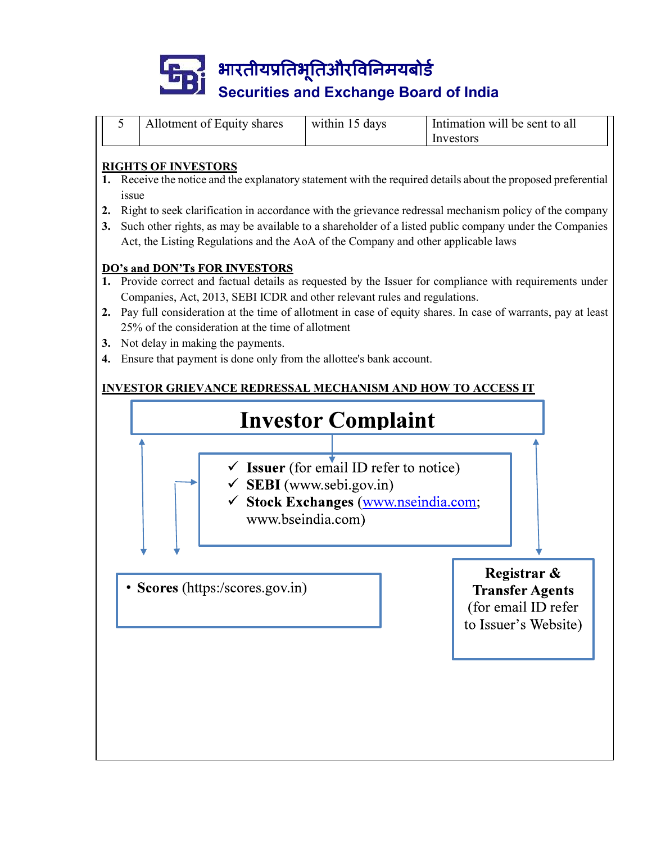

|  | Allotment of Equity shares | within 15 days | Intimation will be sent to all |
|--|----------------------------|----------------|--------------------------------|
|  |                            |                | Investors                      |

### RIGHTS OF INVESTORS

- 1. Receive the notice and the explanatory statement with the required details about the proposed preferential issue
- 2. Right to seek clarification in accordance with the grievance redressal mechanism policy of the company
- 3. Such other rights, as may be available to a shareholder of a listed public company under the Companies

- 1. Provide correct and factual details as requested by the Issuer for compliance with requirements under Companies, Act, 2013, SEBI ICDR and other relevant rules and regulations.
- 25% of the consideration at the time of allotment
- 3. Not delay in making the payments.
- 4. Ensure that payment is done only from the allottee's bank account.

# INVESTOR GRIEVANCE REDRESSAL MECHANISM AND HOW TO ACCESS IT

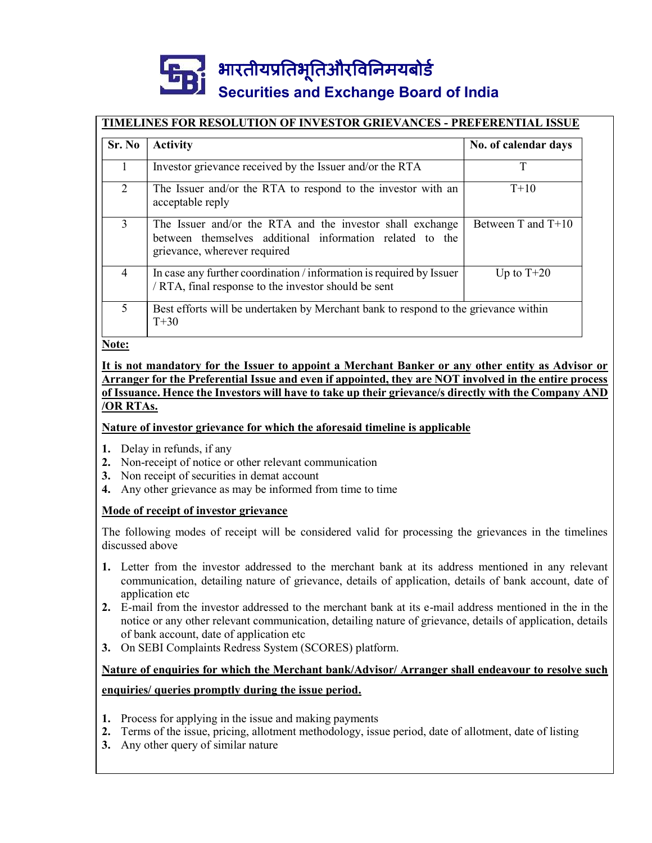# Securities and Exchange Board of India

|                | भारतीयप्रतिभूतिऔरविनिमयबोर्ड                                                                                                                          |                      |
|----------------|-------------------------------------------------------------------------------------------------------------------------------------------------------|----------------------|
|                | <b>Securities and Exchange Board of India</b>                                                                                                         |                      |
|                | TIMELINES FOR RESOLUTION OF INVESTOR GRIEVANCES - PREFERENTIAL ISSUE                                                                                  |                      |
| Sr. No         | <b>Activity</b>                                                                                                                                       | No. of calendar days |
| $\mathbf{1}$   | Investor grievance received by the Issuer and/or the RTA                                                                                              | <sup>T</sup>         |
| $\overline{2}$ | The Issuer and/or the RTA to respond to the investor with an                                                                                          | $T+10$               |
|                | acceptable reply                                                                                                                                      |                      |
| $\overline{3}$ | The Issuer and/or the RTA and the investor shall exchange<br>between themselves additional information related to the<br>grievance, wherever required | Between T and T+10   |
| $\overline{4}$ | In case any further coordination / information is required by Issuer<br>/ RTA, final response to the investor should be sent                          | Up to $T+20$         |

Note:

### It is not mandatory for the Issuer to appoint a Merchant Banker or any other entity as Advisor or Arranger for the Preferential Issue and even if appointed, they are NOT involved in the entire process of Issuance. Hence the Investors will have to take up their grievance/s directly with the Company AND /OR RTAs.

### Nature of investor grievance for which the aforesaid timeline is applicable

- 1. Delay in refunds, if any
- 2. Non-receipt of notice or other relevant communication
- 3. Non receipt of securities in demat account
- 4. Any other grievance as may be informed from time to time

### Mode of receipt of investor grievance

The following modes of receipt will be considered valid for processing the grievances in the timelines discussed above

- 1. Letter from the investor addressed to the merchant bank at its address mentioned in any relevant communication, detailing nature of grievance, details of application, details of bank account, date of application etc 2. Non-receipt of notice or other relevant communication<br>
3. Non receipt of securities in denotations<br>
4. Any other privances as may be informed from time to time<br>  $\overline{M}$  Any other privances as may be informed from time
- 2. E-mail from the investor addressed to the merchant bank at its e-mail address mentioned in the in the notice or any other relevant communication, detailing nature of grievance, details of application, details of bank account, date of application etc
- 3. On SEBI Complaints Redress System (SCORES) platform.

# Nature of enquiries for which the Merchant bank/Advisor/ Arranger shall endeavour to resolve such enquiries/ queries promptly during the issue period.

- 1. Process for applying in the issue and making payments
- 
- 3. Any other query of similar nature